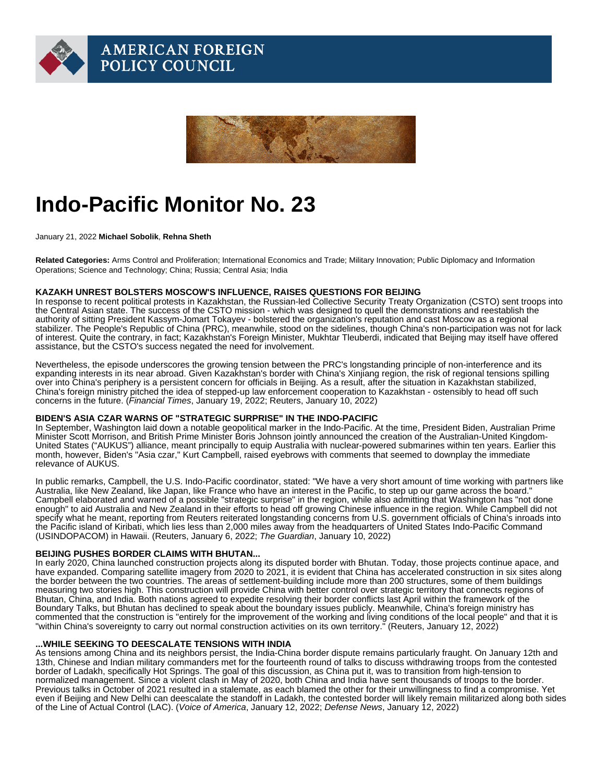# Indo-Pacific Monitor No. 23

January 21, 2022 Michael Sobolik , Rehna Sheth

Related Categories: Arms Control and Proliferation; International Economics and Trade; Military Innovation; Public Diplomacy and Information Operations; Science and Technology; China; Russia; Central Asia; India

### KAZAKH UNREST BOLSTERS MOSCOW'S INFLUENCE, RAISES QUESTIONS FOR BEIJING

In response to recent political protests in Kazakhstan, the Russian-led Collective Security Treaty Organization (CSTO) sent troops into the Central Asian state. The success of the CSTO mission - which was designed to quell the demonstrations and reestablish the authority of sitting President Kassym-Jomart Tokayev - bolstered the organization's reputation and cast Moscow as a regional stabilizer. The People's Republic of China (PRC), meanwhile, stood on the sidelines, though China's non-participation was not for lack of interest. Quite the contrary, in fact; Kazakhstan's Foreign Minister, Mukhtar Tleuberdi, indicated that Beijing may itself have offered assistance, but the CSTO's success negated the need for involvement.

Nevertheless, the episode underscores the growing tension between the PRC's longstanding principle of non-interference and its expanding interests in its near abroad. Given Kazakhstan's border with China's Xinjiang region, the risk of regional tensions spilling over into China's periphery is a persistent concern for officials in Beijing. As a result, after the situation in Kazakhstan stabilized, China's foreign ministry pitched the idea of stepped-up law enforcement cooperation to Kazakhstan - ostensibly to head off such concerns in the future. ([Financial Times,](https://r20.rs6.net/tn.jsp?f=001NeSU-eWyDcquIlK7aXgTfRHVW_Yhn6XWQITGukIEO6VuBxdb2Up5jmM4rldNT4AUFmmSbl6yKmxcmjXaK82xDTrmsz6Bzf4BM9EQUVyxx1L3JCnrWoLDDQ19E-UBpEFxNZjwuBvplf9hO31stg2iBz1pKtcjgQvYAm2PNWLWwZQ4wCu1Da8vo_K-6OBjAqbcOVzLQKLvD48=&c=SD_A3o0DrpOlVnoxc3o64bu-6jfWJ2kn6N1EbrtoahTPHfazGtBpiw==&ch=CEJdHZ7yglJRc6htKD9k3hrRJblVTbdfGXpO9xw78EcaWEeO2Uoy_g==) January 19, 2022; [Reuters,](https://r20.rs6.net/tn.jsp?f=001NeSU-eWyDcquIlK7aXgTfRHVW_Yhn6XWQITGukIEO6VuBxdb2Up5jmM4rldNT4AUqefvO30SH9S7pUe8KN2LYFr74wb7hrjQP4Gi_FQTo94byTbaxrCS95XNKvICJmfRmpLgumq_pe9OSBa3LUrD8OpWE_gWKjq9gpS6aK6p8bj4sK8wiwwRwco9PVf026Ph_lMxpK8-LtSr9Eo4x4ZE1EGpFhlYU0W89pHdTlQ5HZ_RKEzqfb6GsFU15rDzcBI4tX-1DE2LBo8qEyWpAeOgqg==&c=SD_A3o0DrpOlVnoxc3o64bu-6jfWJ2kn6N1EbrtoahTPHfazGtBpiw==&ch=CEJdHZ7yglJRc6htKD9k3hrRJblVTbdfGXpO9xw78EcaWEeO2Uoy_g==) January 10, 2022)

### BIDEN'S ASIA CZAR WARNS OF "STRATEGIC SURPRISE" IN THE INDO-PACIFIC

In September, Washington laid down a notable geopolitical marker in the Indo-Pacific. At the time, President Biden, Australian Prime Minister Scott Morrison, and British Prime Minister Boris Johnson jointly announced the creation of the Australian-United Kingdom-United States ("AUKUS") alliance, meant principally to equip Australia with nuclear-powered submarines within ten years. Earlier this month, however, Biden's "Asia czar," Kurt Campbell, raised eyebrows with comments that seemed to downplay the immediate relevance of AUKUS.

In public remarks, Campbell, the U.S. Indo-Pacific coordinator, stated: "We have a very short amount of time working with partners like Australia, like New Zealand, like Japan, like France who have an interest in the Pacific, to step up our game across the board." Campbell elaborated and warned of a possible "strategic surprise" in the region, while also admitting that Washington has "not done enough" to aid Australia and New Zealand in their efforts to head off growing Chinese influence in the region. While Campbell did not specify what he meant, reporting from Reuters reiterated longstanding concerns from U.S. government officials of China's inroads into the Pacific island of Kiribati, which lies less than 2,000 miles away from the headquarters of United States Indo-Pacific Command (USINDOPACOM) in Hawaii. [\(Reuters,](https://r20.rs6.net/tn.jsp?f=001NeSU-eWyDcquIlK7aXgTfRHVW_Yhn6XWQITGukIEO6VuBxdb2Up5jmM4rldNT4AUbkPWAe_AuTICrSRb634EWMLj4Hq2AabFh8bBAGxKbIzCjhI088Koj8yEgNg3i5oLsrmEVIEm0UQAoQS02Shj3A1lpQl4yCmxBSeMoDapSbK7EAFobp-lU0YHxtu959EFU4VDVSjAeuaWdYe89B0DKgRy2mncyIxbHlCwuMz46mDdAxR-r0WvBQ==&c=SD_A3o0DrpOlVnoxc3o64bu-6jfWJ2kn6N1EbrtoahTPHfazGtBpiw==&ch=CEJdHZ7yglJRc6htKD9k3hrRJblVTbdfGXpO9xw78EcaWEeO2Uoy_g==) January 6, 2022; [The Guardian](https://r20.rs6.net/tn.jsp?f=001NeSU-eWyDcquIlK7aXgTfRHVW_Yhn6XWQITGukIEO6VuBxdb2Up5jmM4rldNT4AUfZCUqkVrPIswU8UmKRHf6mv6990j4JQtd9teWHok2cLLh-h0AQrAMCRO1m1ck0sLrouUNrRjyLOxrg8CLBpbE242lAy8yK1KRDJuHcnzc3tEjWlCJUt9BSkhFY-NSWVLhBX_MWO9Q1RlwwitvWCvCdunGc88XYuI2kkce7dqmJAJxAcxW9t51bzPgftGPVWgS-Ol0Hp_QGzJF1l4i4g7dw==&c=SD_A3o0DrpOlVnoxc3o64bu-6jfWJ2kn6N1EbrtoahTPHfazGtBpiw==&ch=CEJdHZ7yglJRc6htKD9k3hrRJblVTbdfGXpO9xw78EcaWEeO2Uoy_g==), January 10, 2022)

### BEIJING PUSHES BORDER CLAIMS WITH BHUTAN...

In early 2020, China launched construction projects along its disputed border with Bhutan. Today, those projects continue apace, and have expanded. Comparing satellite imagery from 2020 to 2021, it is evident that China has accelerated construction in six sites along the border between the two countries. The areas of settlement-building include more than 200 structures, some of them buildings measuring two stories high. This construction will provide China with better control over strategic territory that connects regions of Bhutan, China, and India. Both nations agreed to expedite resolving their border conflicts last April within the framework of the Boundary Talks, but Bhutan has declined to speak about the boundary issues publicly. Meanwhile, China's foreign ministry has commented that the construction is "entirely for the improvement of the working and living conditions of the local people" and that it is "within China's sovereignty to carry out normal construction activities on its own territory." ([Reuters](https://r20.rs6.net/tn.jsp?f=001NeSU-eWyDcquIlK7aXgTfRHVW_Yhn6XWQITGukIEO6VuBxdb2Up5jmM4rldNT4AUTGwXjfPyUl5tG6B4XoQfQgm5Q_FHDJALgUv01IKI-7wfm13_YUTm788hLu-e239n3FY_02M84JmnnSx4NWEDIxOj04HSJk2EFcBXmbGmMRCIvqd7CaUXAEjkNs7TQHW5kfNAkBiPevJFY1RXKCwMNv89EK4uKxsqWNYx36CvwB3uTimR8JNgfwVCyrmPdEy5lb8RJbtgDnPWJMsrKAQ2wzQb8uATbTso&c=SD_A3o0DrpOlVnoxc3o64bu-6jfWJ2kn6N1EbrtoahTPHfazGtBpiw==&ch=CEJdHZ7yglJRc6htKD9k3hrRJblVTbdfGXpO9xw78EcaWEeO2Uoy_g==), January 12, 2022)

#### ...WHILE SEEKING TO DEESCALATE TENSIONS WITH INDIA

As tensions among China and its neighbors persist, the India-China border dispute remains particularly fraught. On January 12th and 13th, Chinese and Indian military commanders met for the fourteenth round of talks to discuss withdrawing troops from the contested border of Ladakh, specifically Hot Springs. The goal of this discussion, as China put it, was to transition from high-tension to normalized management. Since a violent clash in May of 2020, both China and India have sent thousands of troops to the border. Previous talks in October of 2021 resulted in a stalemate, as each blamed the other for their unwillingness to find a compromise. Yet even if Beijing and New Delhi can deescalate the standoff in Ladakh, the contested border will likely remain militarized along both sides of the Line of Actual Control (LAC). [\(Voice of America](https://r20.rs6.net/tn.jsp?f=001NeSU-eWyDcquIlK7aXgTfRHVW_Yhn6XWQITGukIEO6VuBxdb2Up5jmM4rldNT4AUTiVzYeaFL2ou8_fuNj2LjUzLW9NUlTC8NIOSrgUSrmlV6nZTA-wquYTLpiWobbGbXRSZ28AJTh0iBQXDHVLokaTLAcag5X1PLxAhrU6YvhGq18-qJO2wvqHe8DWOSc3vb59H7RRyRR5DUa2ZWX6nPzh6VC1uZ7dMlA4RCeuRGxk=&c=SD_A3o0DrpOlVnoxc3o64bu-6jfWJ2kn6N1EbrtoahTPHfazGtBpiw==&ch=CEJdHZ7yglJRc6htKD9k3hrRJblVTbdfGXpO9xw78EcaWEeO2Uoy_g==), January 12, 2022; [Defense News](https://r20.rs6.net/tn.jsp?f=001NeSU-eWyDcquIlK7aXgTfRHVW_Yhn6XWQITGukIEO6VuBxdb2Up5jmM4rldNT4AU6G1FRV5NW-16k1Yxb07ZgHTe1x4wfYcZZh9iUvM7bqH2fPOcpBh7RW4fT1AtRDy6SV-nV3ZLrrJwbojtoIfbnFvYQZ7QhoKrsDaxygL-Az-SGiEKB3WEYAlgL5q5E4quhByd8kL6cN2L-i_9MYwLplO4YH9RoZrWw8zNCbCwBFF_AKPD7PVR34fKRkYqCA_0flbN7d4cxq-u9eeyk-NXAw==&c=SD_A3o0DrpOlVnoxc3o64bu-6jfWJ2kn6N1EbrtoahTPHfazGtBpiw==&ch=CEJdHZ7yglJRc6htKD9k3hrRJblVTbdfGXpO9xw78EcaWEeO2Uoy_g==), January 12, 2022)